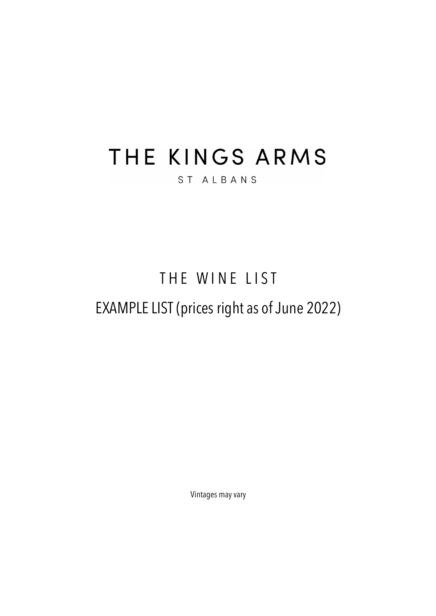# THE KINGS ARMS

#### ST ALBANS

## THE WINE LIST

## EXAMPLE LIST (prices right as of June 2022)

Vintages may vary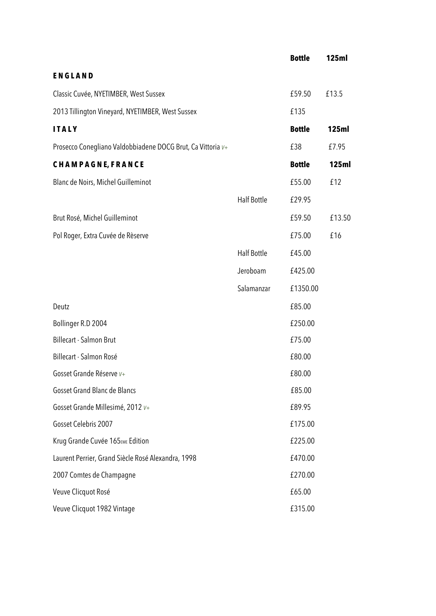|                                                             |                    | <b>Bottle</b> | <b>125ml</b> |
|-------------------------------------------------------------|--------------------|---------------|--------------|
| <b>ENGLAND</b>                                              |                    |               |              |
| Classic Cuvée, NYETIMBER, West Sussex                       |                    | £59.50        | £13.5        |
| 2013 Tillington Vineyard, NYETIMBER, West Sussex            |                    | £135          |              |
| <b>ITALY</b>                                                |                    | <b>Bottle</b> | <b>125ml</b> |
| Prosecco Conegliano Valdobbiadene DOCG Brut, Ca Vittoria v+ |                    | £38           | £7.95        |
| <b>CHAMPAGNE, FRANCE</b>                                    |                    | <b>Bottle</b> | <b>125ml</b> |
| Blanc de Noirs, Michel Guilleminot                          |                    | £55.00        | £12          |
|                                                             | <b>Half Bottle</b> | £29.95        |              |
| Brut Rosé, Michel Guilleminot                               |                    | £59.50        | £13.50       |
| Pol Roger, Extra Cuvée de Rèserve                           |                    | £75.00        | £16          |
|                                                             | <b>Half Bottle</b> | £45.00        |              |
|                                                             | Jeroboam           | £425.00       |              |
|                                                             | Salamanzar         | £1350.00      |              |
| Deutz                                                       |                    | £85.00        |              |
| Bollinger R.D 2004                                          |                    | £250.00       |              |
| <b>Billecart - Salmon Brut</b>                              |                    | £75.00        |              |
| Billecart - Salmon Rosé                                     |                    | £80.00        |              |
| Gosset Grande Réserve V+                                    |                    | £80.00        |              |
| <b>Gosset Grand Blanc de Blancs</b>                         |                    | £85.00        |              |
| Gosset Grande Millesimé, 2012 v+                            |                    | £89.95        |              |
| Gosset Celebris 2007                                        |                    | £175.00       |              |
| Krug Grande Cuvée 165EME Edition                            |                    | £225.00       |              |
| Laurent Perrier, Grand Siècle Rosé Alexandra, 1998          |                    | £470.00       |              |
| 2007 Comtes de Champagne                                    |                    | £270.00       |              |
| Veuve Clicquot Rosé                                         |                    | £65.00        |              |
| Veuve Clicquot 1982 Vintage                                 |                    | £315.00       |              |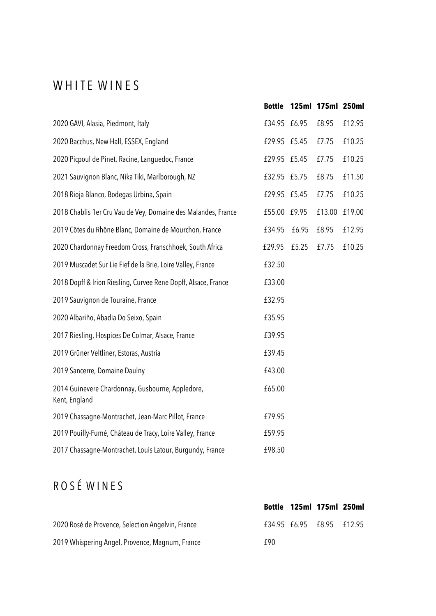#### WHITE WINES

|                                                                   | <b>Bottle</b> |       | 125ml 175ml 250ml |        |
|-------------------------------------------------------------------|---------------|-------|-------------------|--------|
| 2020 GAVI, Alasia, Piedmont, Italy                                | £34.95 £6.95  |       | £8.95             | £12.95 |
| 2020 Bacchus, New Hall, ESSEX, England                            | £29.95 £5.45  |       | £7.75             | £10.25 |
| 2020 Picpoul de Pinet, Racine, Languedoc, France                  | £29.95 £5.45  |       | £7.75             | £10.25 |
| 2021 Sauvignon Blanc, Nika Tiki, Marlborough, NZ                  | £32.95 £5.75  |       | £8.75             | £11.50 |
| 2018 Rioja Blanco, Bodegas Urbina, Spain                          | £29.95 £5.45  |       | £7.75             | £10.25 |
| 2018 Chablis 1er Cru Vau de Vey, Domaine des Malandes, France     | £55.00        | £9.95 | £13.00            | £19.00 |
| 2019 Côtes du Rhône Blanc, Domaine de Mourchon, France            | £34.95        | £6.95 | £8.95             | £12.95 |
| 2020 Chardonnay Freedom Cross, Franschhoek, South Africa          | £29.95        | £5.25 | £7.75             | £10.25 |
| 2019 Muscadet Sur Lie Fief de la Brie, Loire Valley, France       | £32.50        |       |                   |        |
| 2018 Dopff & Irion Riesling, Curvee Rene Dopff, Alsace, France    | £33.00        |       |                   |        |
| 2019 Sauvignon de Touraine, France                                | £32.95        |       |                   |        |
| 2020 Albariño, Abadia Do Seixo, Spain                             | £35.95        |       |                   |        |
| 2017 Riesling, Hospices De Colmar, Alsace, France                 | £39.95        |       |                   |        |
| 2019 Grüner Veltliner, Estoras, Austria                           | £39.45        |       |                   |        |
| 2019 Sancerre, Domaine Daulny                                     | £43.00        |       |                   |        |
| 2014 Guinevere Chardonnay, Gusbourne, Appledore,<br>Kent, England | £65.00        |       |                   |        |
| 2019 Chassagne-Montrachet, Jean-Marc Pillot, France               | £79.95        |       |                   |        |
| 2019 Pouilly-Fumé, Château de Tracy, Loire Valley, France         | £59.95        |       |                   |        |
| 2017 Chassagne-Montrachet, Louis Latour, Burgundy, France         | £98.50        |       |                   |        |

### R O S É W I N E S

|                                                   |     | Bottle 125ml 175ml 250ml  |  |
|---------------------------------------------------|-----|---------------------------|--|
| 2020 Rosé de Provence, Selection Angelvin, France |     | £34.95 £6.95 £8.95 £12.95 |  |
| 2019 Whispering Angel, Provence, Magnum, France   | f90 |                           |  |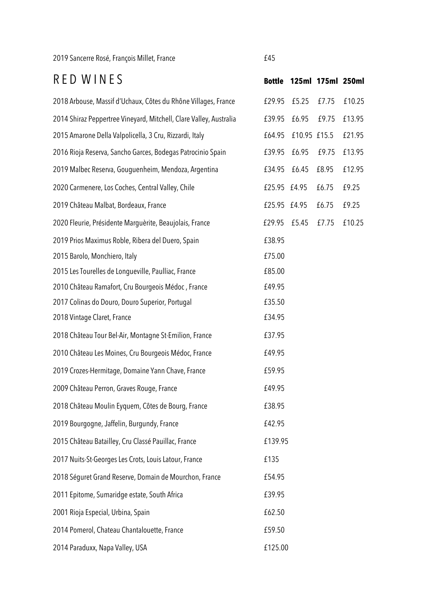2019 Sancerre Rosé, François Millet, France **EXACTES** 

| RED WINES                                                          | <b>Bottle</b> | 125ml 175ml 250ml |       |        |
|--------------------------------------------------------------------|---------------|-------------------|-------|--------|
| 2018 Arbouse, Massif d'Uchaux, Côtes du Rhône Villages, France     | £29.95        | £5.25             | £7.75 | £10.25 |
| 2014 Shiraz Peppertree Vineyard, Mitchell, Clare Valley, Australia | £39.95        | £6.95             | £9.75 | £13.95 |
| 2015 Amarone Della Valpolicella, 3 Cru, Rizzardi, Italy            | £64.95        | £10.95 £15.5      |       | £21.95 |
| 2016 Rioja Reserva, Sancho Garces, Bodegas Patrocinio Spain        | £39.95        | £6.95             | £9.75 | £13.95 |
| 2019 Malbec Reserva, Gouguenheim, Mendoza, Argentina               | £34.95        | £6.45             | £8.95 | £12.95 |
| 2020 Carmenere, Los Coches, Central Valley, Chile                  | £25.95        | £4.95             | £6.75 | £9.25  |
| 2019 Château Malbat, Bordeaux, France                              | £25.95        | £4.95             | £6.75 | £9.25  |
| 2020 Fleurie, Présidente Marquèrite, Beaujolais, France            | £29.95        | £5.45             | £7.75 | £10.25 |
| 2019 Prios Maximus Roble, Ribera del Duero, Spain                  | £38.95        |                   |       |        |
| 2015 Barolo, Monchiero, Italy                                      | £75.00        |                   |       |        |
| 2015 Les Tourelles de Longueville, Paulliac, France                | £85.00        |                   |       |        |
| 2010 Château Ramafort, Cru Bourgeois Médoc, France                 | £49.95        |                   |       |        |
| 2017 Colinas do Douro, Douro Superior, Portugal                    | £35.50        |                   |       |        |
| 2018 Vintage Claret, France                                        | £34.95        |                   |       |        |
| 2018 Château Tour Bel-Air, Montagne St-Emilion, France             | £37.95        |                   |       |        |
| 2010 Château Les Moines, Cru Bourgeois Médoc, France               | £49.95        |                   |       |        |
| 2019 Crozes-Hermitage, Domaine Yann Chave, France                  | £59.95        |                   |       |        |
| 2009 Château Perron, Graves Rouge, France                          | £49.95        |                   |       |        |
| 2018 Château Moulin Eyquem, Côtes de Bourg, France                 | £38.95        |                   |       |        |
| 2019 Bourgogne, Jaffelin, Burgundy, France                         | £42.95        |                   |       |        |
| 2015 Château Batailley, Cru Classé Pauillac, France                | £139.95       |                   |       |        |
| 2017 Nuits-St-Georges Les Crots, Louis Latour, France              | £135          |                   |       |        |
| 2018 Séguret Grand Reserve, Domain de Mourchon, France             | £54.95        |                   |       |        |
| 2011 Epitome, Sumaridge estate, South Africa                       | £39.95        |                   |       |        |
| 2001 Rioja Especial, Urbina, Spain                                 | £62.50        |                   |       |        |
| 2014 Pomerol, Chateau Chantalouette, France                        | £59.50        |                   |       |        |
| 2014 Paraduxx, Napa Valley, USA                                    | £125.00       |                   |       |        |